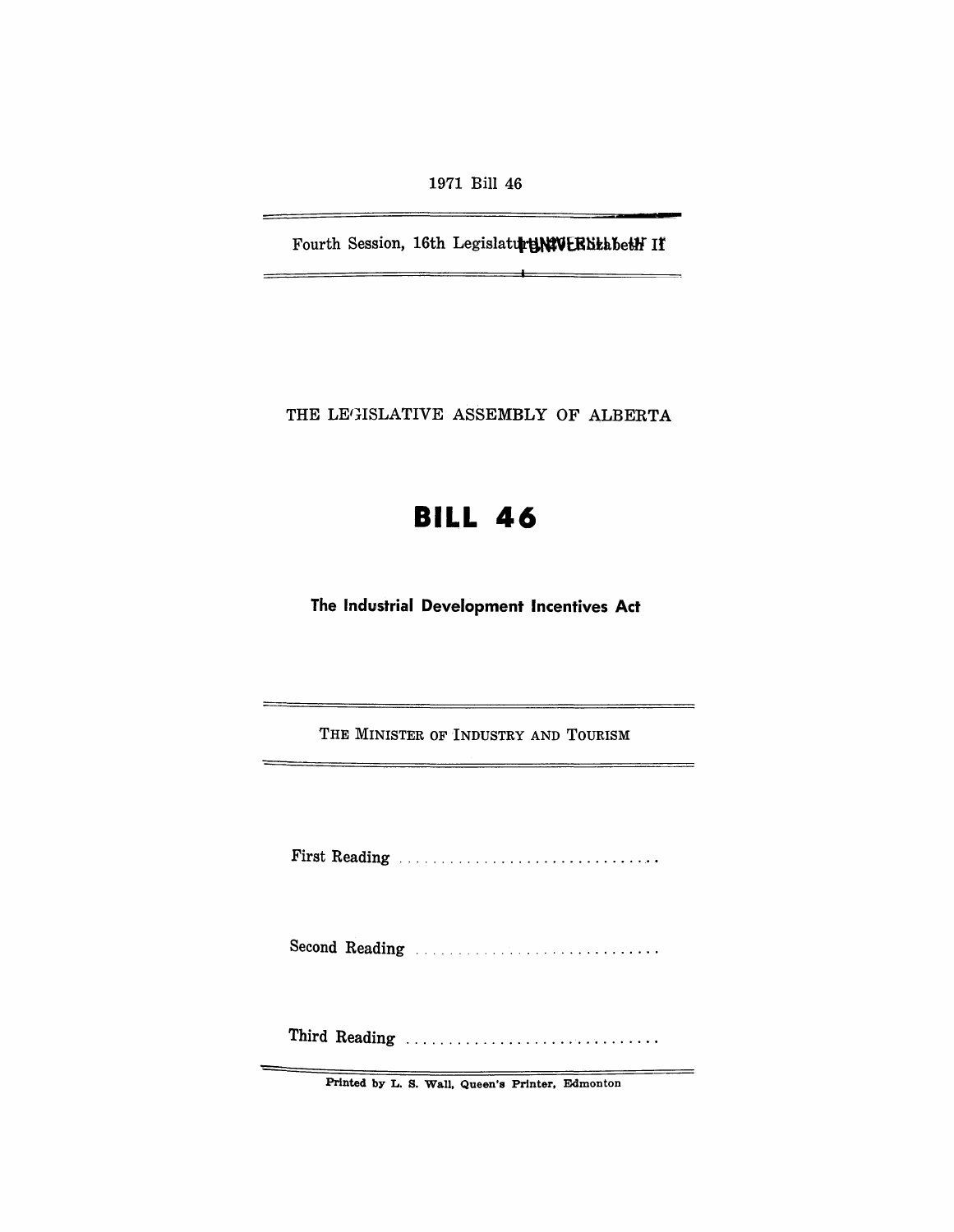1971 Bill 46

Fourth Session, 16th Legislature WEBBtabeth If

 $\overline{\phantom{0}}$ 

THE LEGISLATIVE ASSEMBLY OF ALBERTA

# **BILL 46**

**The Industrial Development Incentives Act** 

THE MINISTER OF INDUSTRY AND TOURISM

First Reading . . . . . . . . . . . . . . . . .............. .

Second Reading ............................ .

Third Reading ..................................

Printed by L. S. Wall, Queen's Printer, Edmonton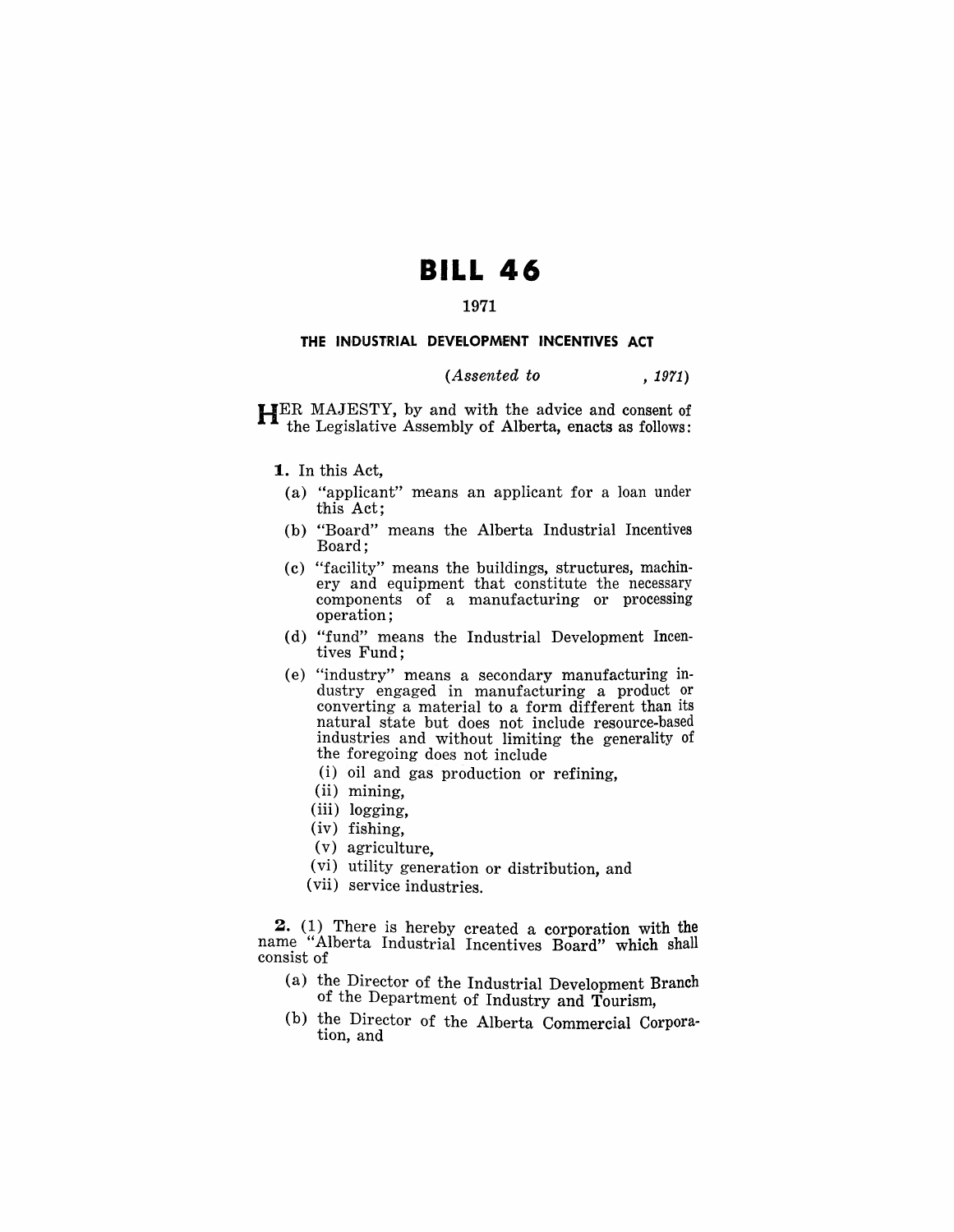## **BILL 46**

#### 1971

#### THE INDUSTRIAL DEVELOPMENT INCENTIVES ACT

### $(Assented to$ ,  $1971)$

HER MAJESTY, by and with the advice and consent of the Legislative Assembly of Alberta, enacts as follows:

#### 1. In this Act,

- (a) "applicant" means an applicant for a loan under this Act;
- (b) "Board" means the Alberta Industrial Incentives Board;
- (c) "facility" means the buildings, structures, machinery and equipment that constitute the necessary components of a manufacturing or processing operation;
- (d) "fund" means the Industrial Development Incentives Fund;
- (e) "industry" means a secondary manufacturing industry engaged in manufacturing a product or converting a material to a form different than its natural state but does not include resource-based industries and without limiting the generality of the foregoing does not include
	- (i) oil and gas production or refining,
	- (ii) mining,
	- (iii) logging,
	- (iv) fishing,
	- (v) agriculture,
	- (vi) utility generation or distribution, and
	- (vii) service industries.

2. (1) There is hereby created a corporation with the name "Alberta Industrial Incentives Board" which shall consist of

- (a) the Director of the Industrial Development Branch of the Department of Industry and Tourism,
- (b) the Director of the Alberta Commercial Corpora- tion, and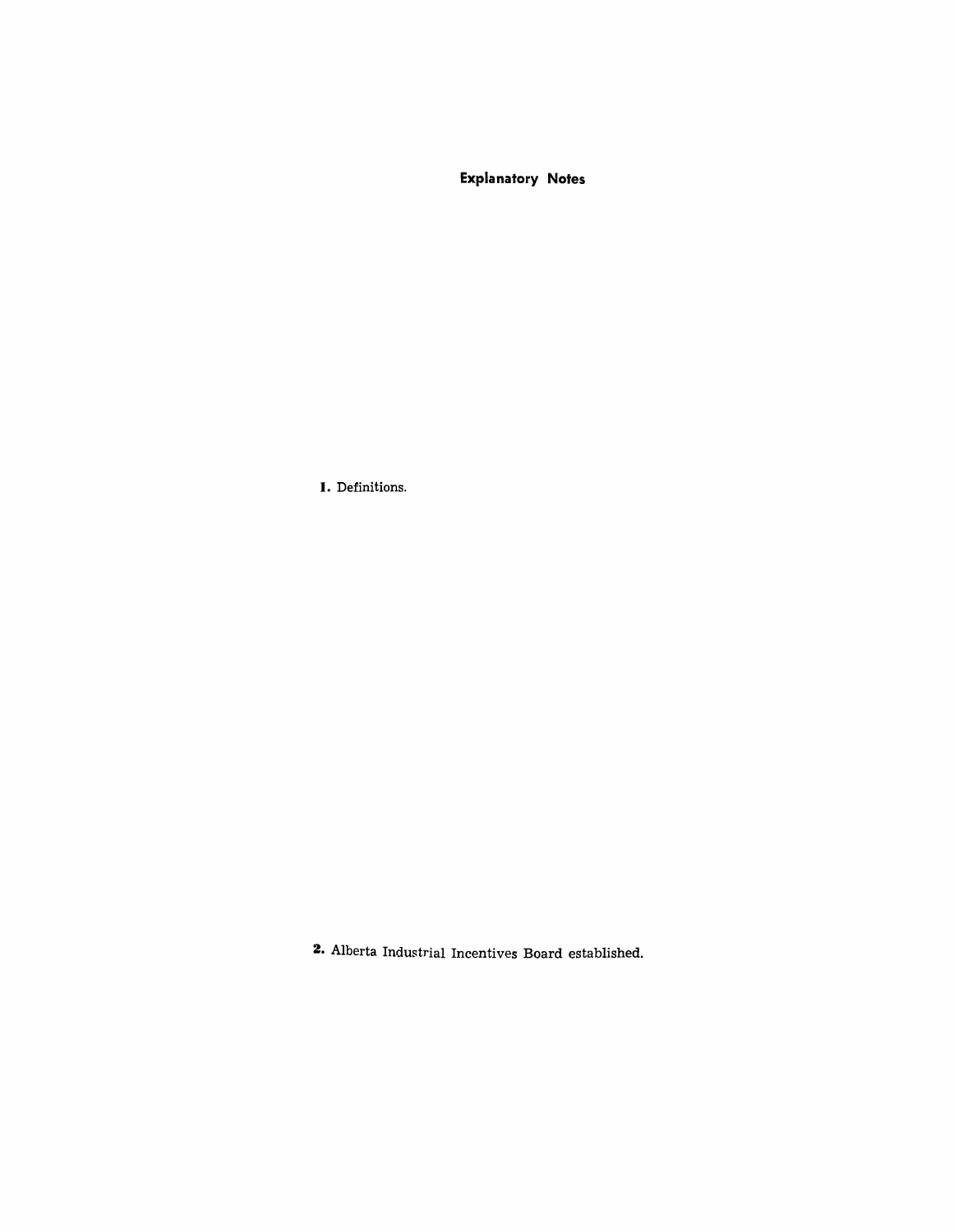**Explanatory Notes** 

**I.** Definitions.

**2.** Alberta Industrial Incentives Board established.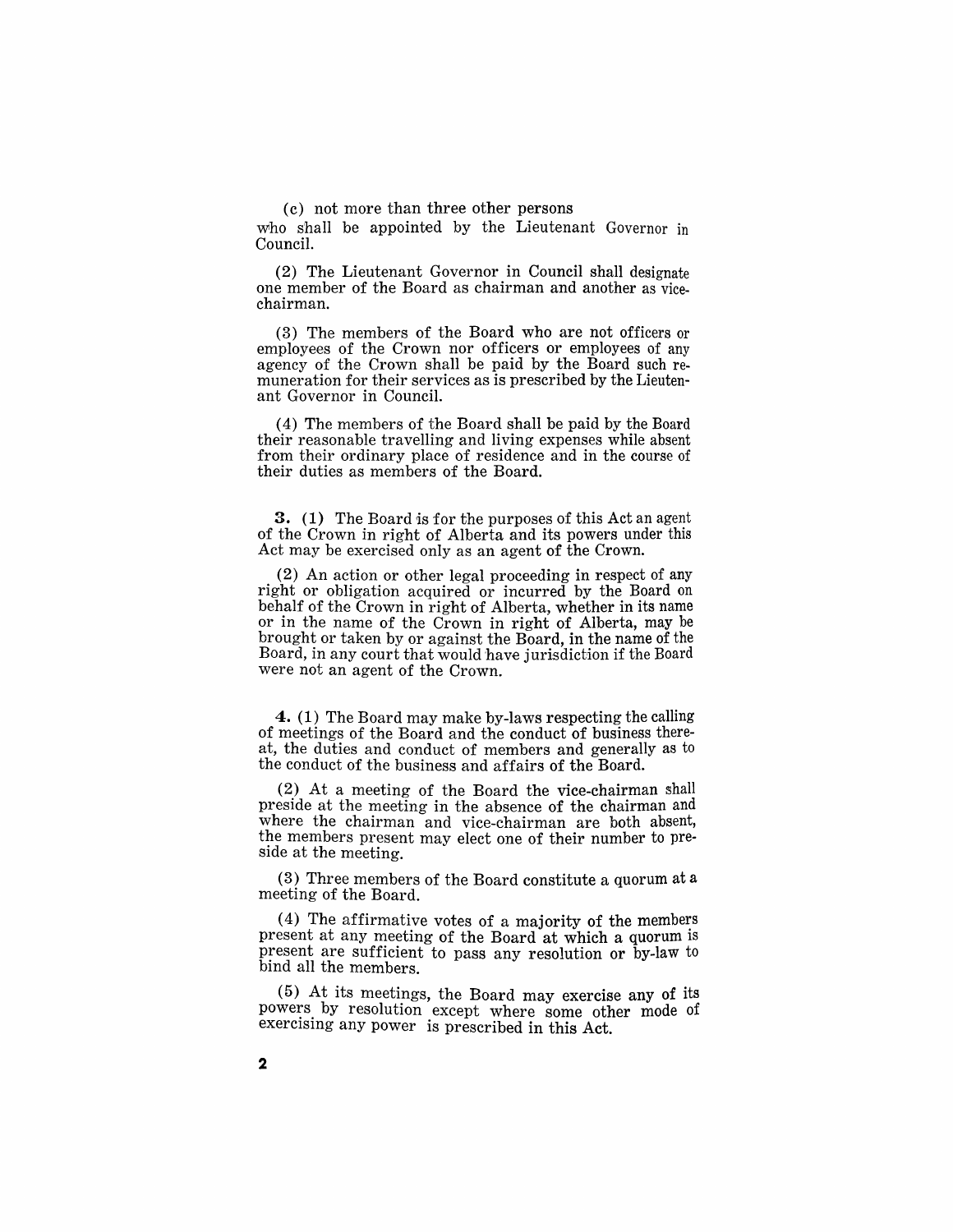( c) not more than three other persons

who shall be appointed by the Lieutenant Governor in Council.

(2) The Lieutenant Governor in Council shall designate one member of the Board as chairman and another as vicechairman.

(3) The members of the Board who are not officers or employees of the Crown nor officers or employees of any agency of the Crown shall be paid by the Board such remuneration for their services as is prescribed by the Lieutenant Governor in Council.

(4) The members of the Board shall be paid by the Board their reasonable travelling and living expenses while absent from their ordinary place of residence and in the course of their duties as members of the Board.

3. (1) The Board is for the purposes of this Act an agent of the Crown in right of Alberta and its powers under this Act may be exercised only as an agent of the Crown.

(2) An action or other legal proceeding in respect of any right or obligation acquired or incurred by the Board on behalf of the Crown in right of Alberta, whether in its name or in the name of the Crown in right of Alberta, may be brought or taken by or against the Board, in the name of the Board, in any court that would have jurisdiction if the Board were not an agent of the Crown.

4. (1) The Board may make by-laws respecting the calling of meetings of the Board and the conduct of business thereat, the duties and conduct of members and generally as to the conduct of the business and affairs of the Board.

(2) At a meeting of the Board the vice-chairman 5hall preside at the meeting in the absence of the chairman and where the chairman and vice-chairman are both absent, the members present may elect one of their number to preside at the meeting.

(3) Three members of the Board constitute a quorum at a meeting of the Board.

(4) The affirmative votes of a majority of the members present at any meeting of the Board at which a quorum is present are sufficient to pass any resolution or by-law to bind all the members.

(5) At its meetings, the Board may exercise any of its powers by resolution except where some other mode of exercising any power is prescribed in this Act.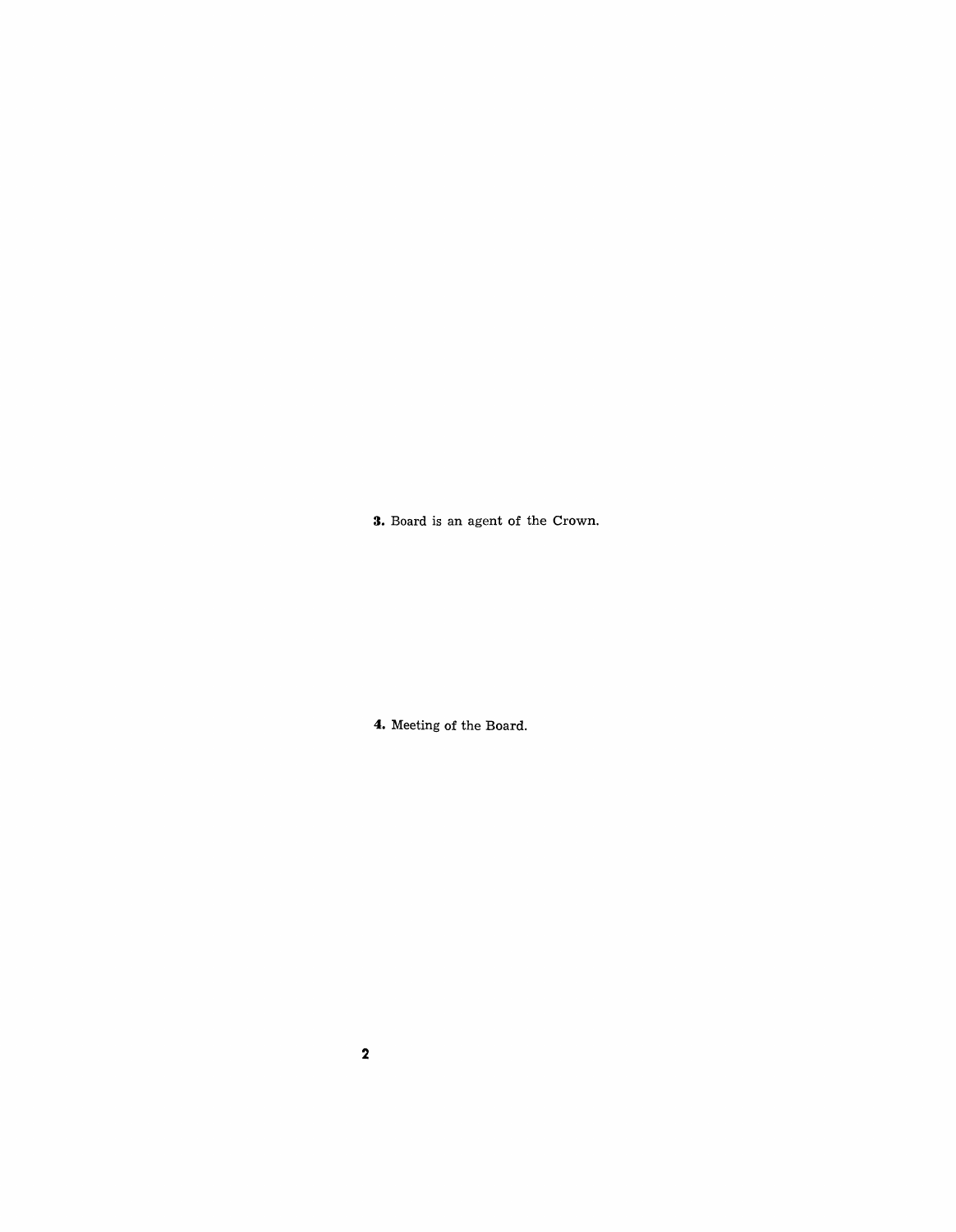**3.** Board is an agent of the Crown.

**4.** Meeting of the Board.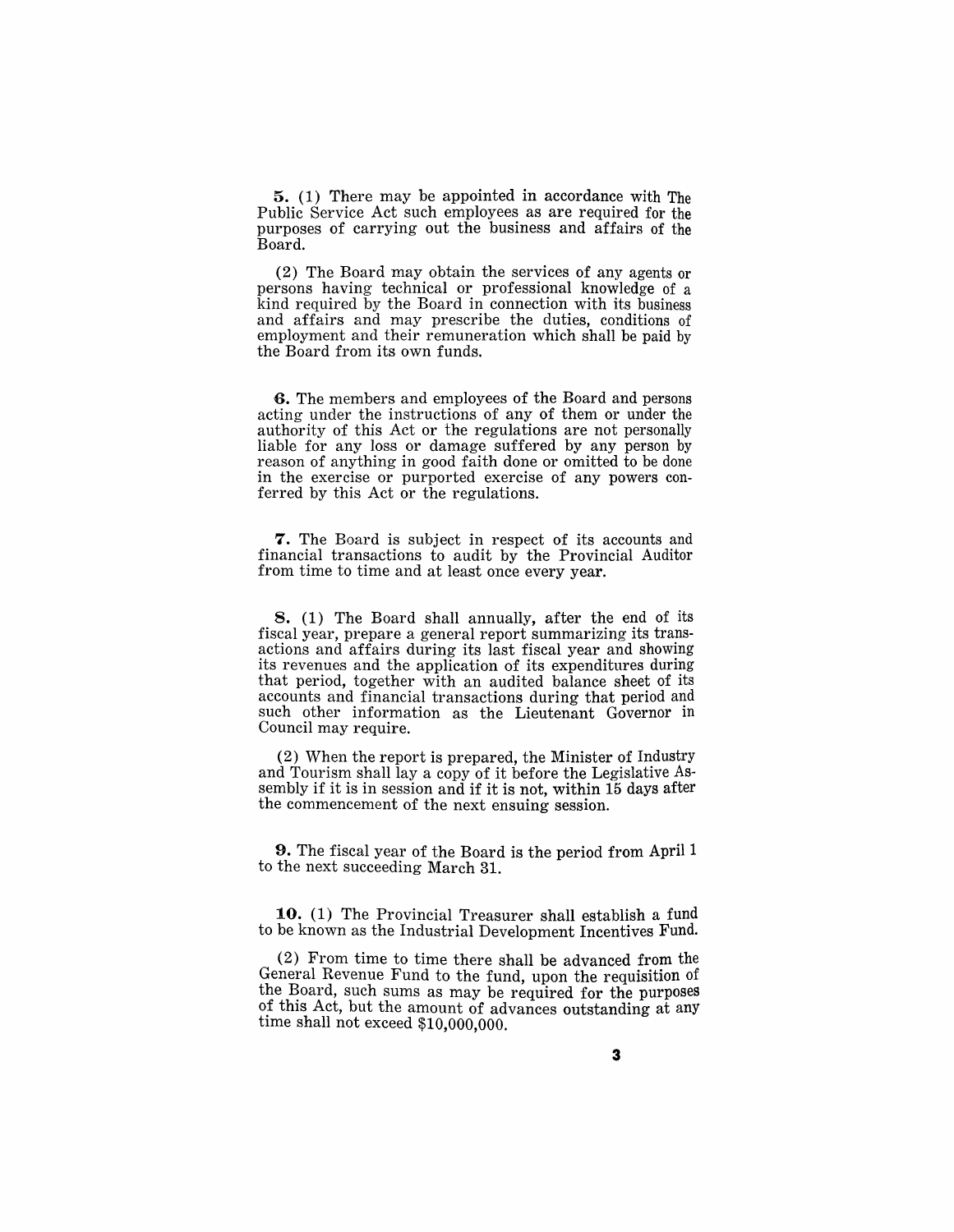5. (1) There may be appointed in accordance with The Public Service Act such employees as are required for the purposes of carrying out the business and affairs of the Board.

(2) The Board may obtain the services of any agents or persons having technical or professional knowledge of a kind required by the Board in connection with its business and affairs and may prescribe the duties, conditions of employment and their remuneration which shall be paid by the Board from its own funds.

**6.** The members and employees of the Board and persons acting under the instructions of any of them or under the authority of this Act or the regulations are not personally liable for any loss or damage suffered by any person by reason of anything in good faith done or omitted to be done in the exercise or purported exercise of any powers conferred by this Act or the regulations.

**7.** The Board is subject in respect of its accounts and financial transactions to audit by the Provincial Auditor from time to time and at least once every year.

8. (1) The Board shall annually, after the end of its fiscal year, prepare a general report summarizing its transactions and affairs during its last fiscal year and showing its revenues and the application of its expenditures during that period, together with an audited balance sheet of its accounts and financial transactions during that period and such other information as the Lieutenant Governor in Council may require.

(2) When the report is prepared, the Minister of Industry and Tourism shall lay a copy of it before the Legislative Assembly if it is in session and if it is not, within 15 days after the commencement of the next ensuing session.

**9.** The fiscal year of the Board is the period from April 1 to the next succeeding March 31.

10. (1) The Provincial Treasurer shall establish a fund to be known as the Industrial Development Incentives Fund.

(2) From time to time there shall be advanced from the General Revenue Fund to the fund, upon the requisition of the Board, such sums as may be required for the purposes of this Act, but the amount of advances outstanding at any time shall not exceed \$10,000,000.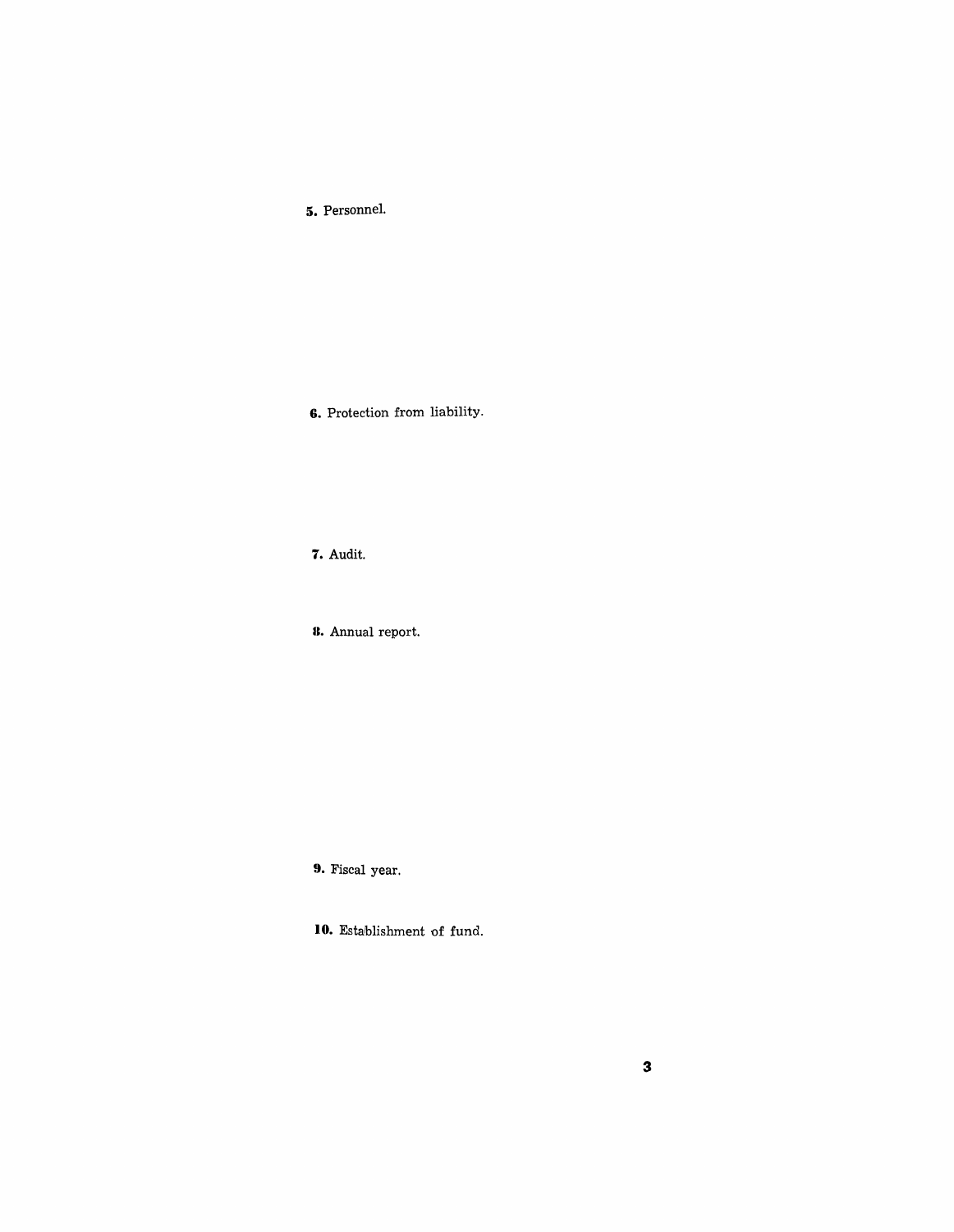**5.** Personnel.

**6.** Protection from liability.

**7.** Audit.

**U.** Annual report.

**9.** Fiscal year.

**10.** Establishment of fund.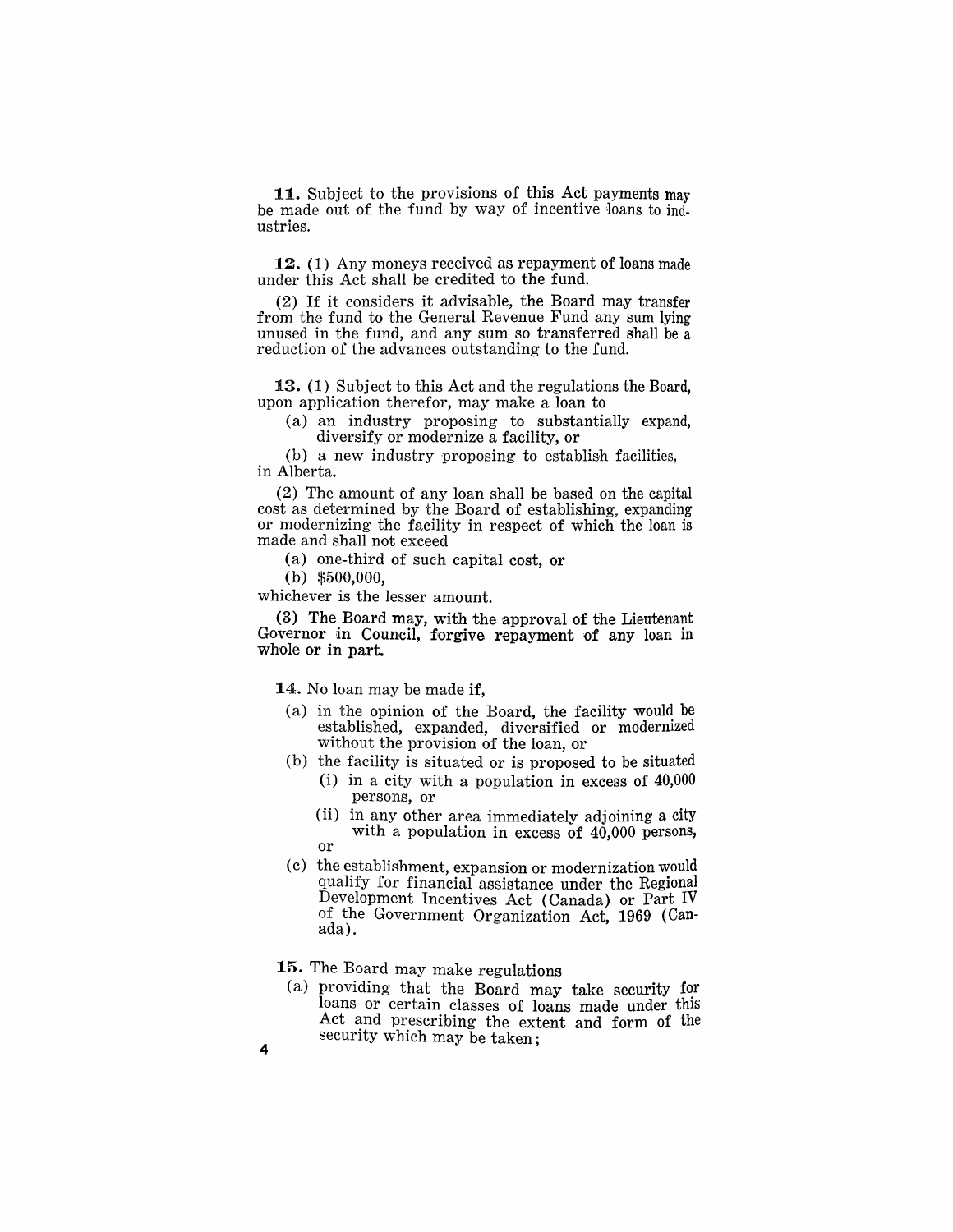11. Subject to the provisions of this Act payments may be made out of the fund by way of incentive loans to industries.

12. (1) Any moneys received as repayment of loans made under this Act shall be credited to the fund.

(2) If it considers it advisable, the Board may transfer from the fund to the General Revenue Fund any sum lying unused in the fund, and any sum so transferred shall be a reduction of the advances outstanding to the fund.

13. (1) Subject to this Act and the regulations the Board, upon application therefor, may make a loan to

(a) an industry proposing to substantially expand, diversify or modernize a facility, or

(b) a new industry proposing to establish facilities, in Alberta.

(2) The amount of any loan shall be based on the capital cost as determined by the Board of establishing, expanding or modernizing the facility in respect of which the loan is made and shall not exceed

(a) one-third of such capital cost, or

(b) \$500,000,

whichever is the lesser amount.

(3) The Board may, with the approval of the Lieutenant Governor in Council, forgive repayment of any loan in whole or in part.

14. No loan may be made if,

- (a) in the opinion of the Board, the facility would be established, expanded, diversified or modernized without the provision of the loan, or
- (b) the facility is situated or is proposed to be situated
	- (i) in a city with a population in excess of 40,000 persons, or
	- (ii) in any other area immediately adjoining a city with a population in excess of 40,000 persons, or
- (c) the establishment, expansion or modernization would qualify for financial assistance under the Regional Development Incentives Act (Canada) or Part IV of the Government Organization Act, 1969 (Can- ada).
- 15. The Board may make regulations
	- (a) providing that the Board may take security for loans or certain classes of loans made under this Act and prescribing the extent and form of the security which may be taken;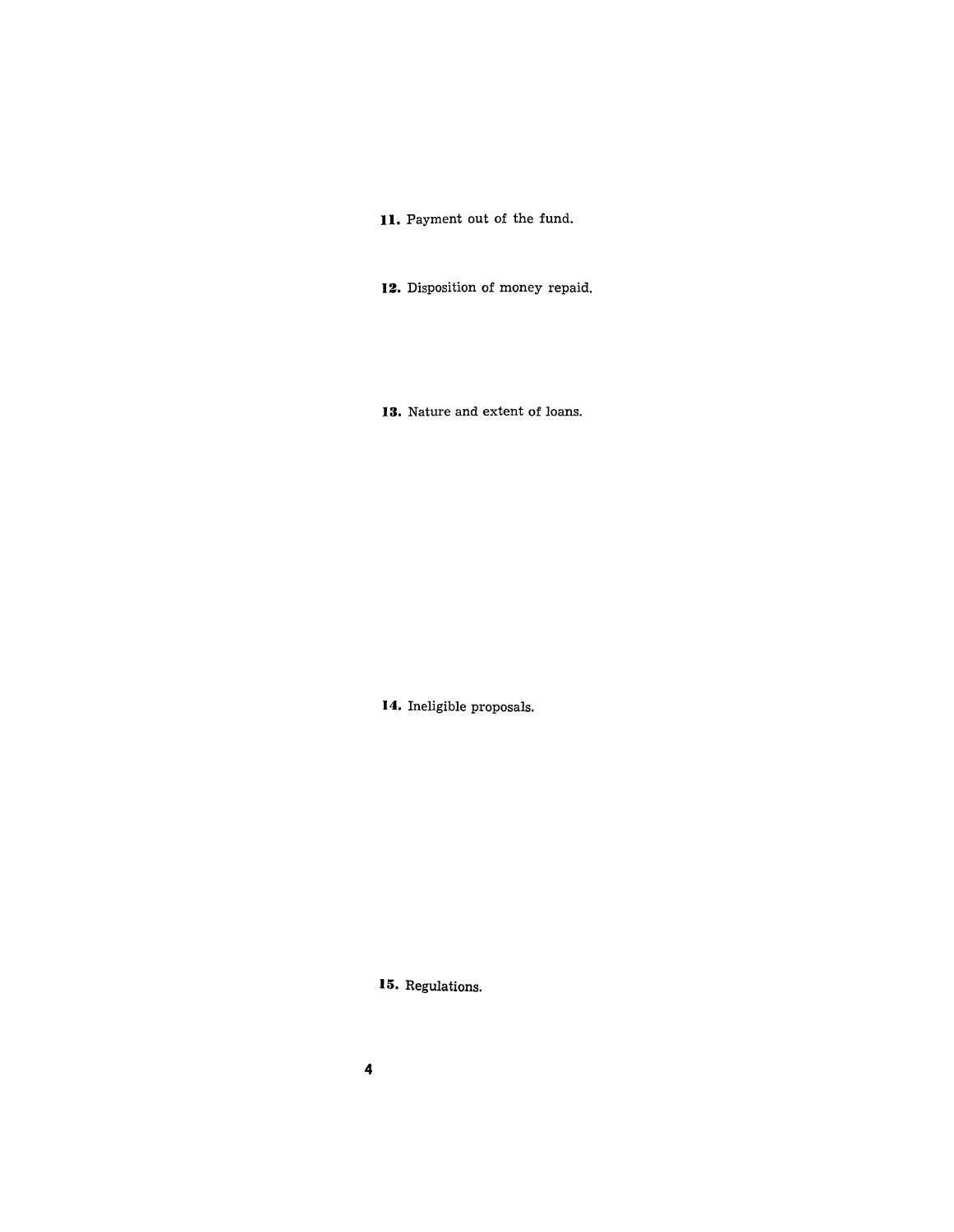11. Payment out of the fund.

**12.** Disposition of money repaid.

**13.** Nature and extent of loans.

**14.** Ineligible proposals.

**15.** Regulations.